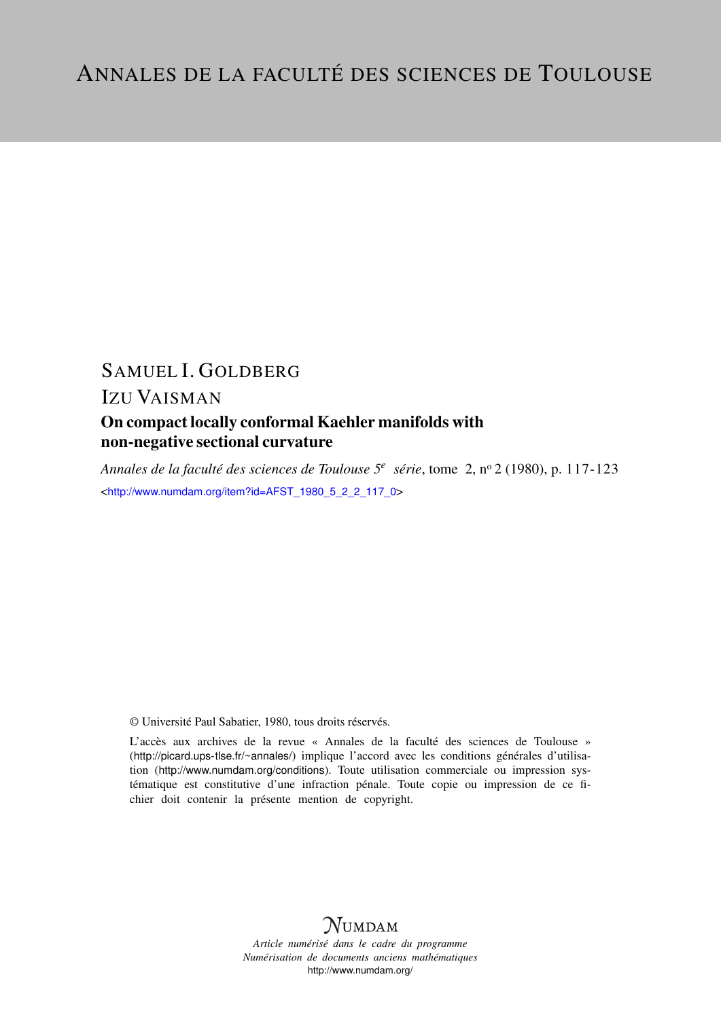# SAMUEL I. GOLDBERG

## IZU VAISMAN

### On compact locally conformal Kaehler manifolds with non-negative sectional curvature

*Annales de la faculté des sciences de Toulouse 5<sup>e</sup> série*, tome 2, n<sup>o</sup> 2 (1980), p. 117-123 <[http://www.numdam.org/item?id=AFST\\_1980\\_5\\_2\\_2\\_117\\_0](http://www.numdam.org/item?id=AFST_1980_5_2_2_117_0)>

© Université Paul Sabatier, 1980, tous droits réservés.

L'accès aux archives de la revue « Annales de la faculté des sciences de Toulouse » (<http://picard.ups-tlse.fr/~annales/>) implique l'accord avec les conditions générales d'utilisation (<http://www.numdam.org/conditions>). Toute utilisation commerciale ou impression systématique est constitutive d'une infraction pénale. Toute copie ou impression de ce fichier doit contenir la présente mention de copyright.



*Article numérisé dans le cadre du programme Numérisation de documents anciens mathématiques* <http://www.numdam.org/>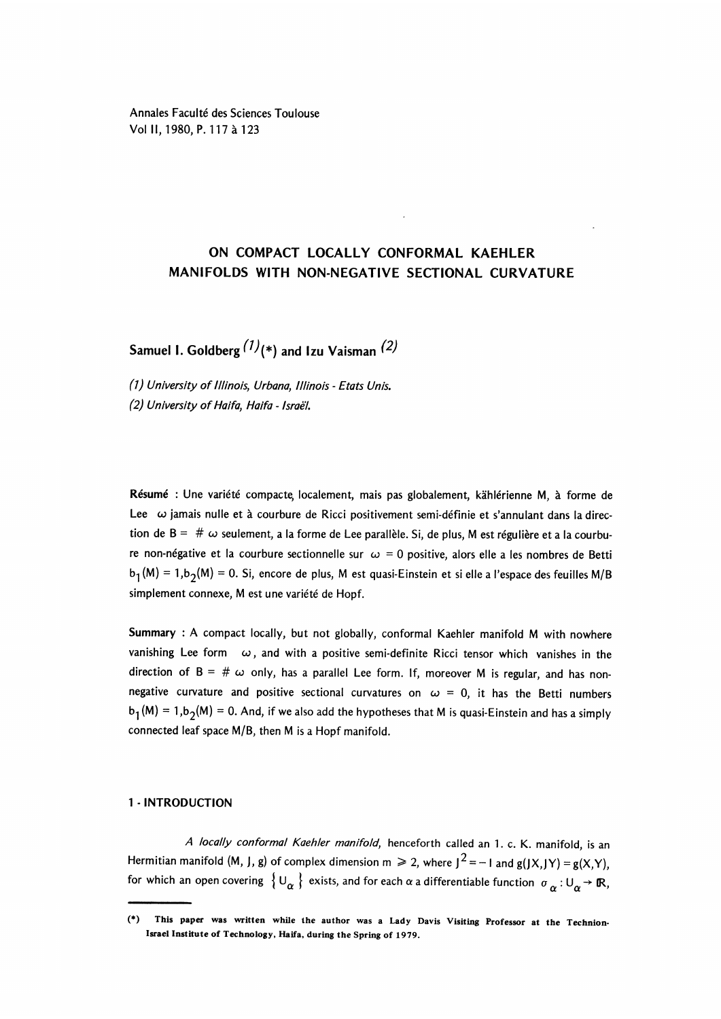Annales Faculté des Sciences Toulouse Vol II, 1980, P. 117 à 123

### ON COMPACT LOCALLY CONFORMAL KAEHLER MANIFOLDS WITH NON-NEGATIVE SECTIONAL CURVATURE

Samuel I. Goldberg  $(1)(*)$  and Izu Vaisman  $(2)$ 

(1 ) University of Illinois, Urbana, Illinois - Etats Unis. (2) University of Haifa, Haifa - Israe'I.

Resume : Une variété compacte, localement, mais pas globalement, kählérienne M, à forme de Lee  $\omega$  jamais nulle et à courbure de Ricci positivement semi-définie et s'annulant dans la direction de B =  $\# \omega$  seulement, a la forme de Lee parallèle. Si, de plus, M est régulière et a la courbure non-négative et la courbure sectionnelle sur  $\omega = 0$  positive, alors elle a les nombres de Betti  $b_1(M) = 1, b_2(M) = 0$ . Si, encore de plus, M est quasi-Einstein et si elle a l'espace des feuilles M/B simplement connexe, M est une variété de Hopf.

Summary : A compact locally, but not globally, conformal Kaehler manifold M with nowhere vanishing Lee form  $\omega$ , and with a positive semi-definite Ricci tensor which vanishes in the direction of  $B = # \omega$  only, has a parallel Lee form. If, moreover M is regular, and has nonnegative curvature and positive sectional curvatures on  $\omega = 0$ , it has the Betti numbers  $b_1(M) = 1, b_2(M) = 0$ . And, if we also add the hypotheses that M is quasi-Einstein and has a simply connected leaf space M/B, then M is a Hopf manifold.

#### 1- INTRODUCTION

A locally conformal Kaehler manifold, henceforth called an 1. c. K. manifold, is an Hermitian manifold (M, J, g) of complex dimension  $m \ge 2$ , where  $J^2 = -1$  and  $g(JX,JY) = g(X,Y)$ , for which an open covering  $\{U_\alpha\}$  exists, and for each  $\alpha$  a differentiable function  $\sigma_\alpha: U_\alpha \to \mathbb{R}$ ,

<sup>(\*)</sup> This paper was written while the author was a Lady Davis Visiting Professor at the Technion-Israel Institute of Technology, Haifa, during the Spring of 1979.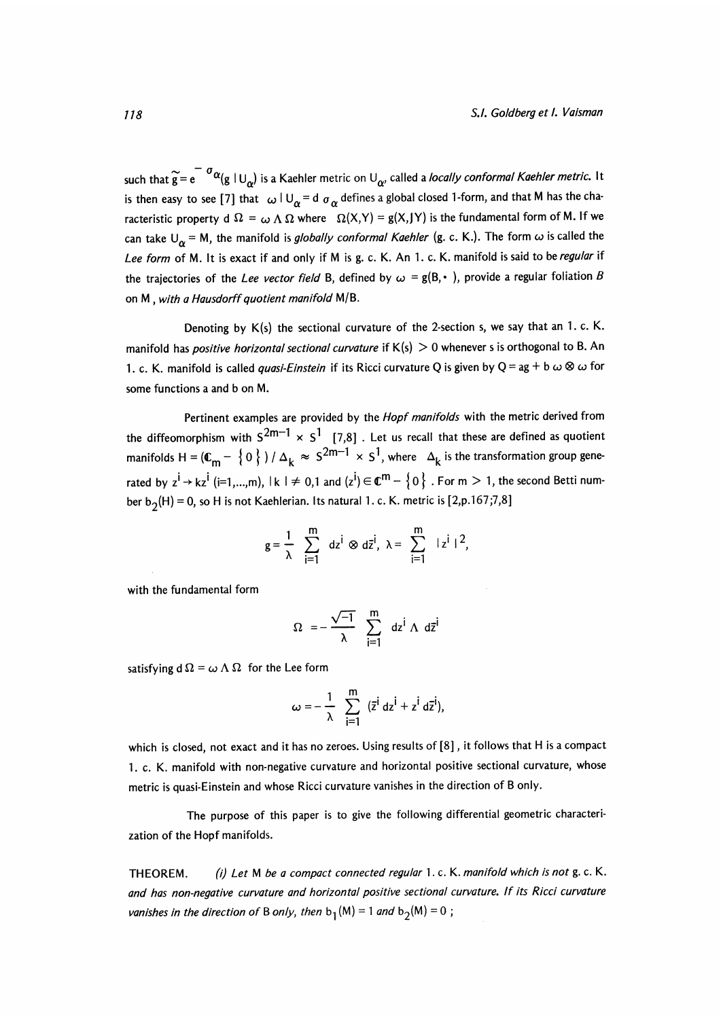such that  $\widetilde{g} = e^{-\sigma \alpha} (g \mid U_{\alpha})$  is a Kaehler metric on  $U_{\alpha}$ , called a *locally conformal Kaehler metric*. It is then easy to see [7] that  $\omega \mid U_{\alpha} = d \sigma_{\alpha}$  defines a global closed 1-form, and that M has the characteristic property d  $\Omega = \omega \Lambda \Omega$  where  $\Omega(X, Y) = g(X, JY)$  is the fundamental form of M. If we can take  $U_{\alpha} = M$ , the manifold is *globally conformal Kaehler* (g. c. K.). The form  $\omega$  is called the Lee form of M. It is exact if and only if M is g. c. K. An 1. c. K. manifold is said to be regular if the trajectories of the Lee vector field B, defined by  $\omega = g(B, \cdot)$ , provide a regular foliation B on M , with a Hausdorff quotient manifold M/B.

Denoting by  $K(s)$  the sectional curvature of the 2-section s, we say that an 1. c. K. manifold has *positive horizontal sectional curvature* if  $K(s) > 0$  whenever s is orthogonal to B. An 1. c. K. manifold is called *quasi-Einstein* if its Ricci curvature Q is given by Q = ag + b  $\omega$  &  $\omega$  for some functions a and b on M.

Pertinent examples are provided by the *Hopf manifolds* with the metric derived from the diffeomorphism with  $S^{2m-1} \times S^1$  [7,8]. Let us recall that these are defined as quotient manifolds H =  $(\mathbb{C}_m - \{0\}) / \Delta_k \approx S^{2m-1} \times S^1$ , where  $\Delta_k$  is the transformation group generated by  $z^i \to kz^i$  (i=1,...,m),  $|k| \neq 0,1$  and  $|z^i| \in \mathbb{C}^m - \{0\}$ . For  $m > 1$ , the second Betti number  $b_2(H) = 0$ , so H is not Kaehlerian. Its natural 1. c. K. metric is [2,p.167;7,8]

$$
g=\frac{1}{\lambda}\sum_{i=1}^m dz^i\otimes d\overline{z}^i, \ \lambda=\sum_{i=1}^m |z^i|^2,
$$

with the fundamental form

$$
\Omega = -\frac{\sqrt{-1}}{\lambda} \sum_{i=1}^{m} dz^{i} \wedge d\overline{z}^{i}
$$

satisfying  $d\Omega = \omega \Lambda \Omega$  for the Lee form

$$
\omega=-\frac{1}{\lambda}\sum_{i=1}^m\ ( \bar{z}^i\ dz^i + z^i\ d\bar{z}^i ),
$$

which is closed, not exact and it has no zeroes. Using results of [8], it follows that H is a compact 1. c. K. manifold with non-negative curvature and horizontal positive sectional curvature, whose metric is quasi-Einstein and whose Ricci curvature vanishes in the direction of B only.

The purpose of this paper is to give the following differential geometric characterization of the Hopf manifolds.

THEOREM. (i) Let M be a compact connected regular 1. c. K. manifold which is not g. c. K. and has non-negative curvature and horizontal positive sectional curvature. If its Ricci curvature vanishes in the direction of B only, then  $b_1(M) = 1$  and  $b_2(M) = 0$ ;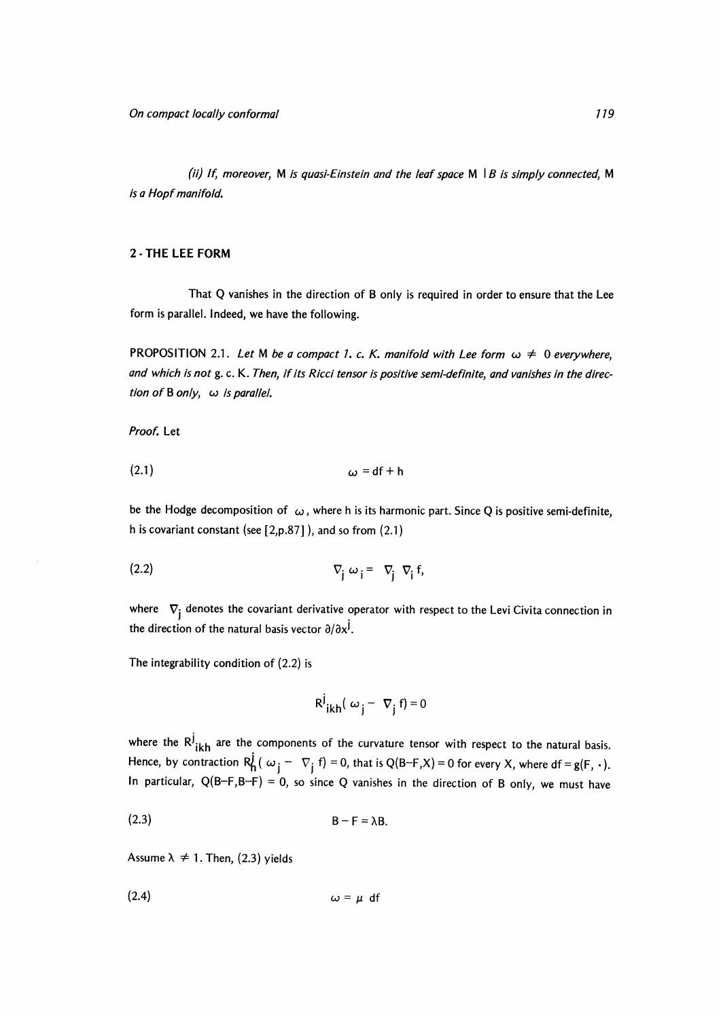(ii) If, moreover, M is quasi-Einstein and the leaf space M  $|B|$  is simply connected, M is a Hopf manifold.

#### 2 - THE LEE FORM

That Q vanishes in the direction of B only is required in order to ensure that the Lee form is parallel. Indeed, we have the following.

PROPOSITION 2.1. Let M be a compact 1, c. K. manifold with Lee form  $\omega \neq 0$  everywhere, and which is not g. c. K. Then, if its Ricci tensor is positive semi-definite, and vanishes in the direction of  $B$  only,  $\omega$  is parallel.

Proof. Let

$$
\omega = df + h
$$

be the Hodge decomposition of  $\omega$ , where h is its harmonic part. Since Q is positive semi-definite, h is covariant constant (see [2,p.87] ), and so from (2.1)

$$
\nabla_{\mathbf{j}} \omega_{\mathbf{i}} = \nabla_{\mathbf{j}} \nabla_{\mathbf{i}} \mathbf{f},
$$

where  $\nabla_i$  denotes the covariant derivative operator with respect to the Levi Civita connection in the direction of the natural basis vector  $\partial/\partial x^{j}$ .

The integrability condition of (2.2) is

$$
R^j_{ikh}(\omega_j - \nabla_j f) = 0
$$

where the  $R^j_{ikh}$  are the components of the curvature tensor with respect to the natural basis. Hence, by contraction  $R_h^j$  ( $\omega_j - \nabla_j$  f) = 0, that is Q(B-F,X) = 0 for every X, where df = g(F, ·). In particular,  $Q(B-F,B-F) = 0$ , so since Q vanishes in the direction of B only, we must have

$$
B - F = \lambda B.
$$

Assume  $\lambda \neq 1$ . Then, (2.3) yields

 $(2.4)$  $\omega = \mu$  df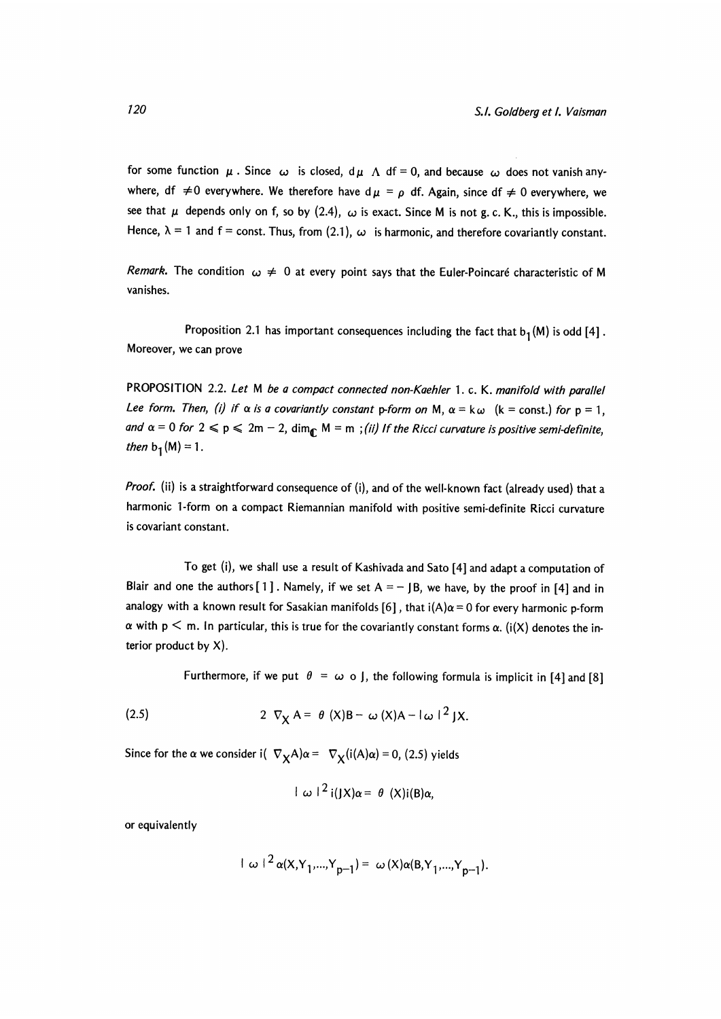for some function  $\mu$ . Since  $\omega$  is closed,  $d\mu \Lambda$  df = 0, and because  $\omega$  does not vanish anywhere, df  $\neq$  0 everywhere. We therefore have d  $\mu$  =  $\rho$  df. Again, since df  $\neq$  0 everywhere, we see that  $\mu$  depends only on f, so by (2.4),  $\omega$  is exact. Since M is not g. c. K., this is impossible. Hence,  $\lambda = 1$  and  $f = \text{const.}$  Thus, from (2.1),  $\omega$  is harmonic, and therefore covariantly constant.

Remark. The condition  $\omega \neq 0$  at every point says that the Euler-Poincaré characteristic of M vanishes.

Proposition 2.1 has important consequences including the fact that  $b_1(M)$  is odd [4]. Moreover, we can prove

PROPOSITION 2.2. Let M be a compact connected non-Kaehler 1. c. K. manifold with parallel Lee form. Then, (i) if  $\alpha$  is a covariantly constant p-form on M,  $\alpha = k\omega$  (k = const.) for p = 1, and  $\alpha = 0$  for  $2 \leq p \leq 2m - 2$ ,  $\dim_{\mathbb{C}} M = m$ ; (ii) If the Ricci curvature is positive semi-definite, then  $b_1(M) = 1$ .

Proof. (ii) is a straightforward consequence of (i), and of the well-known fact (already used) that a harmonic 1-form on a compact Riemannian manifold with positive semi-definite Ricci curvature is covariant constant.

To get (i), we shall use a result of Kashivada and Sato [4] and adapt a computation of Blair and one the authors  $[1]$ . Namely, if we set  $A = -1B$ , we have, by the proof in [4] and in analogy with a known result for Sasakian manifolds [6], that  $i(A)\alpha = 0$  for every harmonic p-form  $\alpha$  with p  $\leq$  m. In particular, this is true for the covariantly constant forms  $\alpha$ . (i(X) denotes the interior product by  $X$ ).

Furthermore, if we put  $\theta = \omega$  o J, the following formula is implicit in [4] and [8]

(2.5) 
$$
2 \nabla_X A = \theta (X)B - \omega (X)A - |\omega|^{2} JX.
$$

Since for the  $\alpha$  we consider i(  $\nabla_X A \alpha = \nabla_X (i(A)\alpha) = 0$ , (2.5) yields

$$
\int \omega^{2} i(JX)\alpha = \theta (X)i(B)\alpha,
$$

or equivalently

$$
|\omega|^2 \alpha(X,Y_1,...,Y_{p-1}) = \omega(X)\alpha(B,Y_1,...,Y_{p-1}).
$$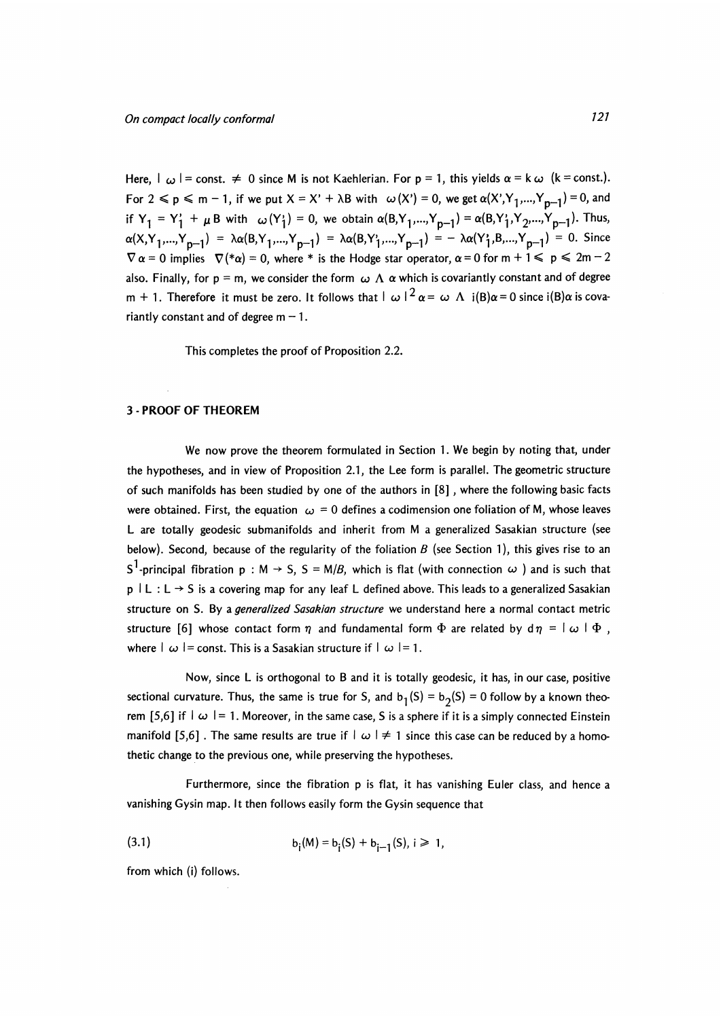Here,  $|\omega|$  = const.  $\neq 0$  since M is not Kaehlerian. For p = 1, this yields  $\alpha = k \omega$  (k = const.). For  $2 \le p \le m - 1$ , if we put  $X = X' + \lambda B$  with  $\omega(X') = 0$ , we get  $\alpha(X', Y_1, ..., Y_{n-1}) = 0$ , and if  $Y_1 = Y_1' + \mu B$  with  $\omega(Y_1') = 0$ , we obtain  $\alpha(B, Y_1,..., Y_{p-1}) = \alpha(B, Y_1', Y_2,..., Y_{p-1})$ . Thus,  $\alpha(X,Y_1,...,Y_{n-1}) = \lambda \alpha(B,Y_1,...,Y_{n-1}) = \lambda \alpha(B,Y_1,...,Y_{n-1}) = -\lambda \alpha(Y_1,B,...,Y_{n-1}) = 0.$  Since  $\nabla \alpha = 0$  implies  $\nabla$  (\* $\alpha$ ) = 0, where \* is the Hodge star operator,  $\alpha = 0$  for  $m + 1 \leqslant p \leqslant 2m - 2$ also. Finally, for p = m, we consider the form  $\,\omega\,$  A  $\,\alpha$  which is covariantly constant and of degree m + 1. Therefore it must be zero. It follows that  $|\omega|^2 \alpha = \omega \Lambda$  i(B) $\alpha = 0$  since i(B) $\alpha$  is covariantly constant and of degree  $m - 1$ .

This completes the proof of Proposition 2.2.

#### 3 PROOF OF THEOREM

We now prove the theorem formulated in Section 1. We begin by noting that, under the hypotheses, and in view of Proposition 2.1, the Lee form is parallel. The geometric structure of such manifolds has been studied by one of the authors in [8] , where the following basic facts were obtained. First, the equation  $\omega = 0$  defines a codimension one foliation of M, whose leaves L are totally geodesic submanifolds and inherit from M a generalized Sasakian structure (see below). Second, because of the regularity of the foliation  $B$  (see Section 1), this gives rise to an S<sup>1</sup>-principal fibration p : M  $\rightarrow$  S, S = M/B, which is flat (with connection  $\omega$  ) and is such that  $p \mid L : L \rightarrow S$  is a covering map for any leaf L defined above. This leads to a generalized Sasakian structure on S. By a *generalized Sasakian structure* we understand here a normal contact metric structure [6] whose contact form  $\eta$  and fundamental form  $\Phi$  are related by d  $\eta = |\omega| \Phi$ , where  $|\omega|$  = const. This is a Sasakian structure if  $|\omega|$  = 1.

Now, since L is orthogonal to B and it is totally geodesic, it has, in our case, positive sectional curvature. Thus, the same is true for S, and  $b_1(S) = b_2(S) = 0$  follow by a known theorem [5,6] if  $|\omega| = 1$ . Moreover, in the same case, S is a sphere if it is a simply connected Einstein manifold [5,6]. The same results are true if  $\vert \omega \vert \neq 1$  since this case can be reduced by a homothetic change to the previous one, while preserving the hypotheses.

Furthermore, since the fibration p is flat, it has vanishing Euler class, and hence a vanishing Gysin map. It then follows easily form the Gysin sequence that

(3.1) 
$$
b_i(M) = b_i(S) + b_{i-1}(S), i \ge 1,
$$

from which (i) follows.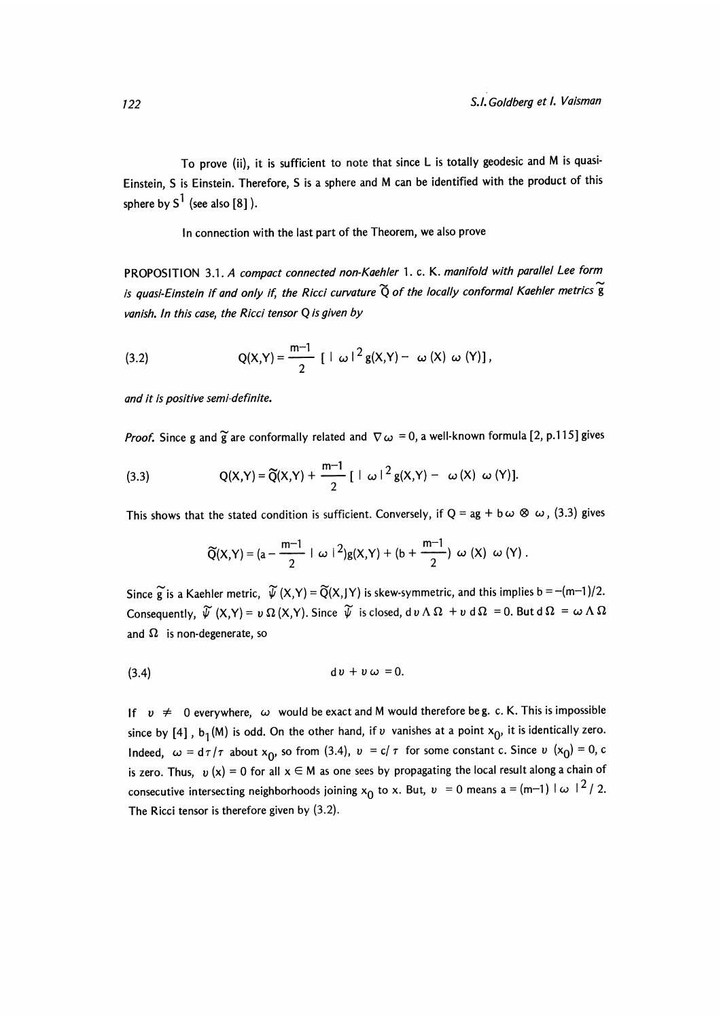To prove (ii), it is sufficient to note that since L is totally geodesic and M is quasi-Einstein, S is Einstein. Therefore, S is a sphere and M can be identified with the product of this sphere by  $S^1$  (see also [8]).

In connection with the last part of the Theorem, we also prove

PROPOSITION 3.1. A compact connected non-Kaehler 1. c. K. manifold with parallel Lee form is quasi-Einstein if and only if, the Ricci curvature  $\widetilde{Q}$  of the locally conformal Kaehler metrics  $\widetilde{g}$ vanish. In this case, the Ricci tensor Q is given by

(3.2) 
$$
Q(X,Y) = \frac{m-1}{2} [ |\omega|^2 g(X,Y) - \omega (X) \omega (Y) ],
$$

and it is positive semi-definite.

*Proof.* Since g and  $\tilde{g}$  are conformally related and  $\nabla \omega = 0$ , a well-known formula [2, p.115] gives

(3.3) 
$$
Q(X,Y) = \widetilde{Q}(X,Y) + \frac{m-1}{2} [ |\omega|^2 g(X,Y) - \omega(X) \omega(Y)].
$$

This shows that the stated condition is sufficient. Conversely, if Q = ag + b  $\omega \otimes \omega$ , (3.3) gives

$$
\widetilde{Q}(X,Y) = (a - \frac{m-1}{2} + \omega + 2)g(X,Y) + (b + \frac{m-1}{2}) \omega (X) \omega (Y).
$$

Since  $\widetilde{g}$  is a Kaehler metric,  $\widetilde{\psi}(X,Y) = \widetilde{Q}(X,Y)$  is skew-symmetric, and this implies b = -(m-1)/2. Consequently,  $\widetilde{\psi}(X,Y) = v \Omega(X,Y)$ . Since  $\widetilde{\psi}$  is closed,  $d v \wedge \Omega + v d \Omega = 0$ . But  $d \Omega = \omega \wedge \Omega$ and  $\Omega$  is non-degenerate, so

$$
(3.4) \t\t d v + v \omega = 0.
$$

If  $v \neq 0$  everywhere,  $\omega$  would be exact and M would therefore beg. c. K. This is impossible since by [4], b<sub>1</sub>(M) is odd. On the other hand, if v vanishes at a point  $x_0$ , it is identically zero. Indeed,  $\omega = d\tau/\tau$  about  $x_0$ , so from (3.4),  $v = c/\tau$  for some constant c. Since  $v(x_0) = 0$ , c is zero. Thus,  $v(x) = 0$  for all  $x \in M$  as one sees by propagating the local result along a chain of consecutive intersecting neighborhoods joining  $x_0$  to x. But,  $v = 0$  means  $a = (m-1) \mid \omega \mid^2 / 2$ . The Ricci tensor is therefore given by (3.2).